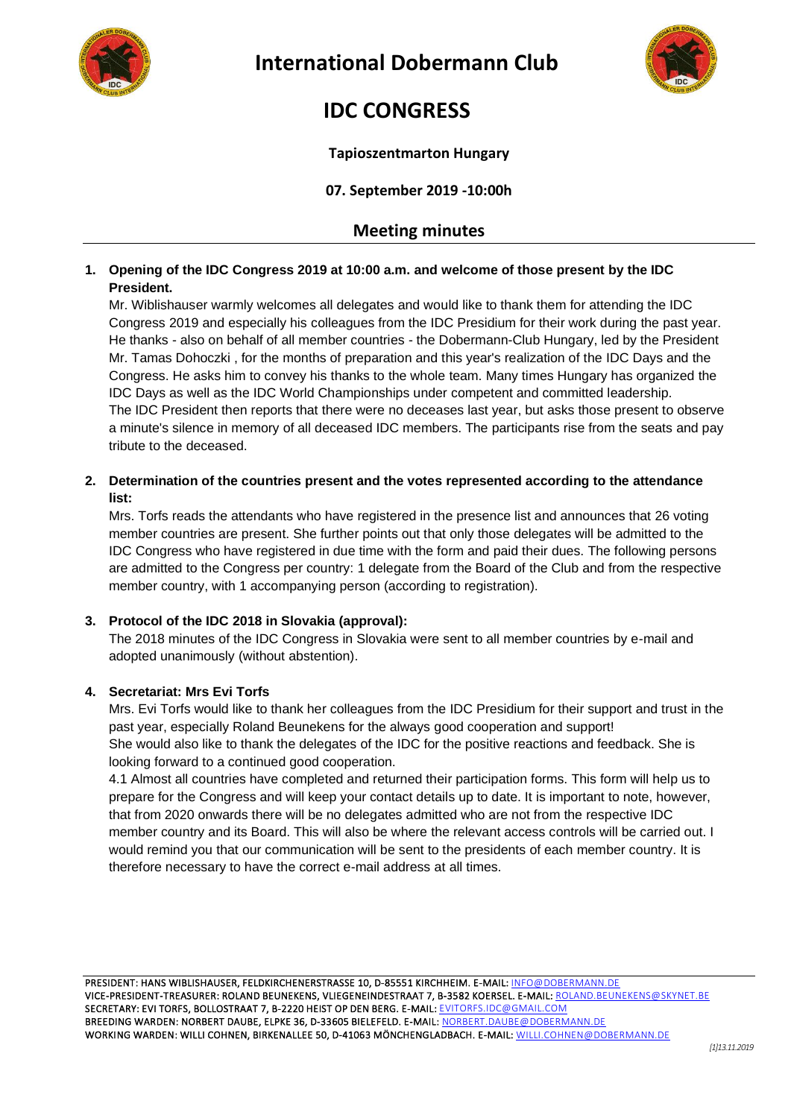



# **IDC CONGRESS**

### **Tapioszentmarton Hungary**

**07. September 2019 -10:00h**

## **Meeting minutes**

### **1. Opening of the IDC Congress 2019 at 10:00 a.m. and welcome of those present by the IDC President.**

Mr. Wiblishauser warmly welcomes all delegates and would like to thank them for attending the IDC Congress 2019 and especially his colleagues from the IDC Presidium for their work during the past year. He thanks - also on behalf of all member countries - the Dobermann-Club Hungary, led by the President Mr. Tamas Dohoczki , for the months of preparation and this year's realization of the IDC Days and the Congress. He asks him to convey his thanks to the whole team. Many times Hungary has organized the IDC Days as well as the IDC World Championships under competent and committed leadership. The IDC President then reports that there were no deceases last year, but asks those present to observe a minute's silence in memory of all deceased IDC members. The participants rise from the seats and pay tribute to the deceased.

### **2. Determination of the countries present and the votes represented according to the attendance list:**

Mrs. Torfs reads the attendants who have registered in the presence list and announces that 26 voting member countries are present. She further points out that only those delegates will be admitted to the IDC Congress who have registered in due time with the form and paid their dues. The following persons are admitted to the Congress per country: 1 delegate from the Board of the Club and from the respective member country, with 1 accompanying person (according to registration).

### **3. Protocol of the IDC 2018 in Slovakia (approval):**

The 2018 minutes of the IDC Congress in Slovakia were sent to all member countries by e-mail and adopted unanimously (without abstention).

### **4. Secretariat: Mrs Evi Torfs**

Mrs. Evi Torfs would like to thank her colleagues from the IDC Presidium for their support and trust in the past year, especially Roland Beunekens for the always good cooperation and support! She would also like to thank the delegates of the IDC for the positive reactions and feedback. She is looking forward to a continued good cooperation.

4.1 Almost all countries have completed and returned their participation forms. This form will help us to prepare for the Congress and will keep your contact details up to date. It is important to note, however, that from 2020 onwards there will be no delegates admitted who are not from the respective IDC member country and its Board. This will also be where the relevant access controls will be carried out. I would remind you that our communication will be sent to the presidents of each member country. It is therefore necessary to have the correct e-mail address at all times.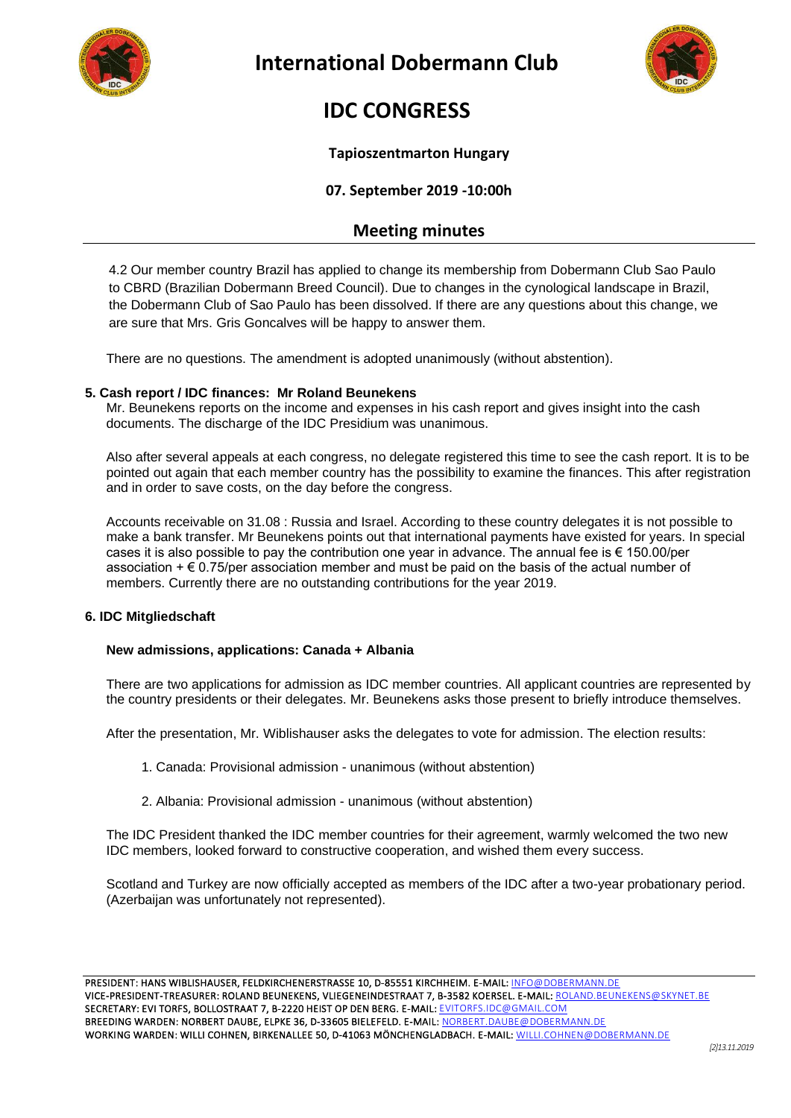



# **IDC CONGRESS**

#### **Tapioszentmarton Hungary**

### **07. September 2019 -10:00h**

## **Meeting minutes**

4.2 Our member country Brazil has applied to change its membership from Dobermann Club Sao Paulo to CBRD (Brazilian Dobermann Breed Council). Due to changes in the cynological landscape in Brazil, the Dobermann Club of Sao Paulo has been dissolved. If there are any questions about this change, we are sure that Mrs. Gris Goncalves will be happy to answer them.

There are no questions. The amendment is adopted unanimously (without abstention).

#### **5. Cash report / IDC finances: Mr Roland Beunekens**

Mr. Beunekens reports on the income and expenses in his cash report and gives insight into the cash documents. The discharge of the IDC Presidium was unanimous.

Also after several appeals at each congress, no delegate registered this time to see the cash report. It is to be pointed out again that each member country has the possibility to examine the finances. This after registration and in order to save costs, on the day before the congress.

Accounts receivable on 31.08 : Russia and Israel. According to these country delegates it is not possible to make a bank transfer. Mr Beunekens points out that international payments have existed for years. In special cases it is also possible to pay the contribution one year in advance. The annual fee is  $\epsilon$  150.00/per association  $+\epsilon$  0.75/per association member and must be paid on the basis of the actual number of members. Currently there are no outstanding contributions for the year 2019.

#### **6. IDC Mitgliedschaft**

#### **New admissions, applications: Canada + Albania**

There are two applications for admission as IDC member countries. All applicant countries are represented by the country presidents or their delegates. Mr. Beunekens asks those present to briefly introduce themselves.

After the presentation, Mr. Wiblishauser asks the delegates to vote for admission. The election results:

- 1. Canada: Provisional admission unanimous (without abstention)
- 2. Albania: Provisional admission unanimous (without abstention)

The IDC President thanked the IDC member countries for their agreement, warmly welcomed the two new IDC members, looked forward to constructive cooperation, and wished them every success.

Scotland and Turkey are now officially accepted as members of the IDC after a two-year probationary period. (Azerbaijan was unfortunately not represented).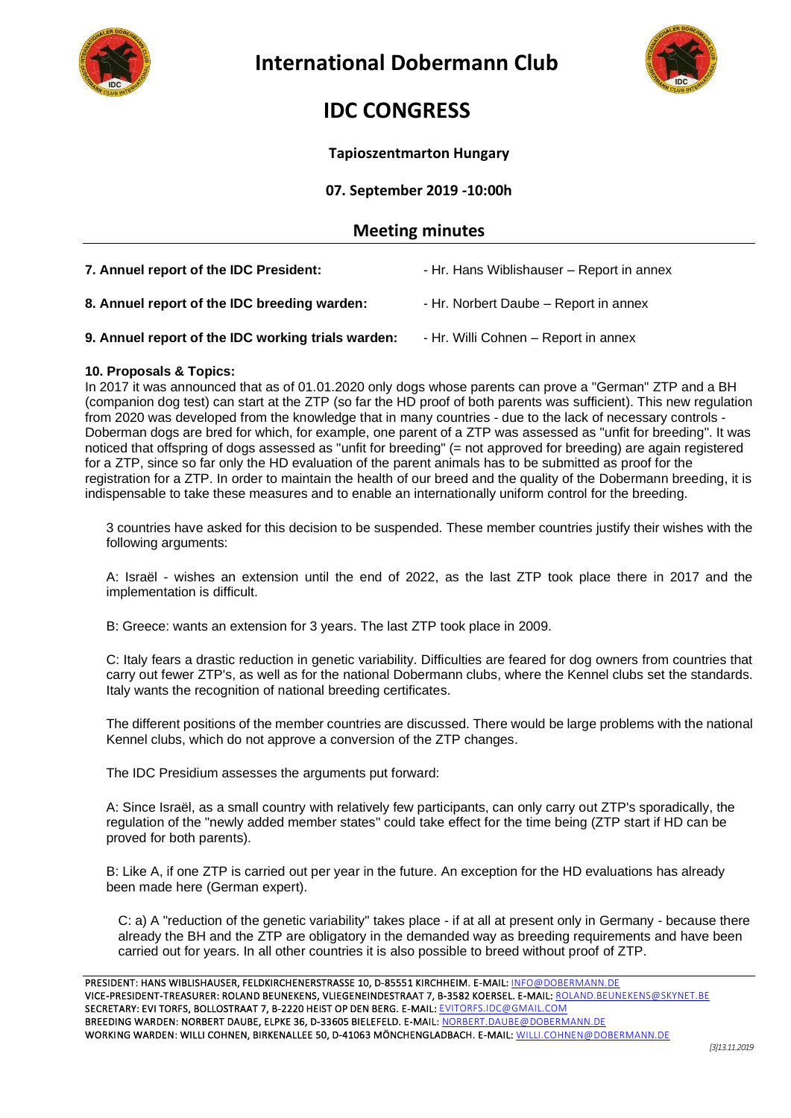



# **IDC CONGRESS**

#### **Tapioszentmarton Hungary**

**07. September 2019 -10:00h**

### **Meeting minutes**

| 7. Annuel report of the IDC President:             | - Hr. Hans Wiblishauser - Report in annex |
|----------------------------------------------------|-------------------------------------------|
| 8. Annuel report of the IDC breeding warden:       | - Hr. Norbert Daube – Report in annex     |
| 9. Annuel report of the IDC working trials warden: | - Hr. Willi Cohnen – Report in annex      |

#### **10. Proposals & Topics:**

In 2017 it was announced that as of 01.01.2020 only dogs whose parents can prove a "German" ZTP and a BH (companion dog test) can start at the ZTP (so far the HD proof of both parents was sufficient). This new regulation from 2020 was developed from the knowledge that in many countries - due to the lack of necessary controls - Doberman dogs are bred for which, for example, one parent of a ZTP was assessed as "unfit for breeding". It was noticed that offspring of dogs assessed as "unfit for breeding" (= not approved for breeding) are again registered for a ZTP, since so far only the HD evaluation of the parent animals has to be submitted as proof for the registration for a ZTP. In order to maintain the health of our breed and the quality of the Dobermann breeding, it is indispensable to take these measures and to enable an internationally uniform control for the breeding.

3 countries have asked for this decision to be suspended. These member countries justify their wishes with the following arguments:

A: Israël - wishes an extension until the end of 2022, as the last ZTP took place there in 2017 and the implementation is difficult.

B: Greece: wants an extension for 3 years. The last ZTP took place in 2009.

C: Italy fears a drastic reduction in genetic variability. Difficulties are feared for dog owners from countries that carry out fewer ZTP's, as well as for the national Dobermann clubs, where the Kennel clubs set the standards. Italy wants the recognition of national breeding certificates.

The different positions of the member countries are discussed. There would be large problems with the national Kennel clubs, which do not approve a conversion of the ZTP changes.

The IDC Presidium assesses the arguments put forward:

A: Since Israël, as a small country with relatively few participants, can only carry out ZTP's sporadically, the regulation of the "newly added member states" could take effect for the time being (ZTP start if HD can be proved for both parents).

B: Like A, if one ZTP is carried out per year in the future. An exception for the HD evaluations has already been made here (German expert).

C: a) A "reduction of the genetic variability" takes place - if at all at present only in Germany - because there already the BH and the ZTP are obligatory in the demanded way as breeding requirements and have been carried out for years. In all other countries it is also possible to breed without proof of ZTP.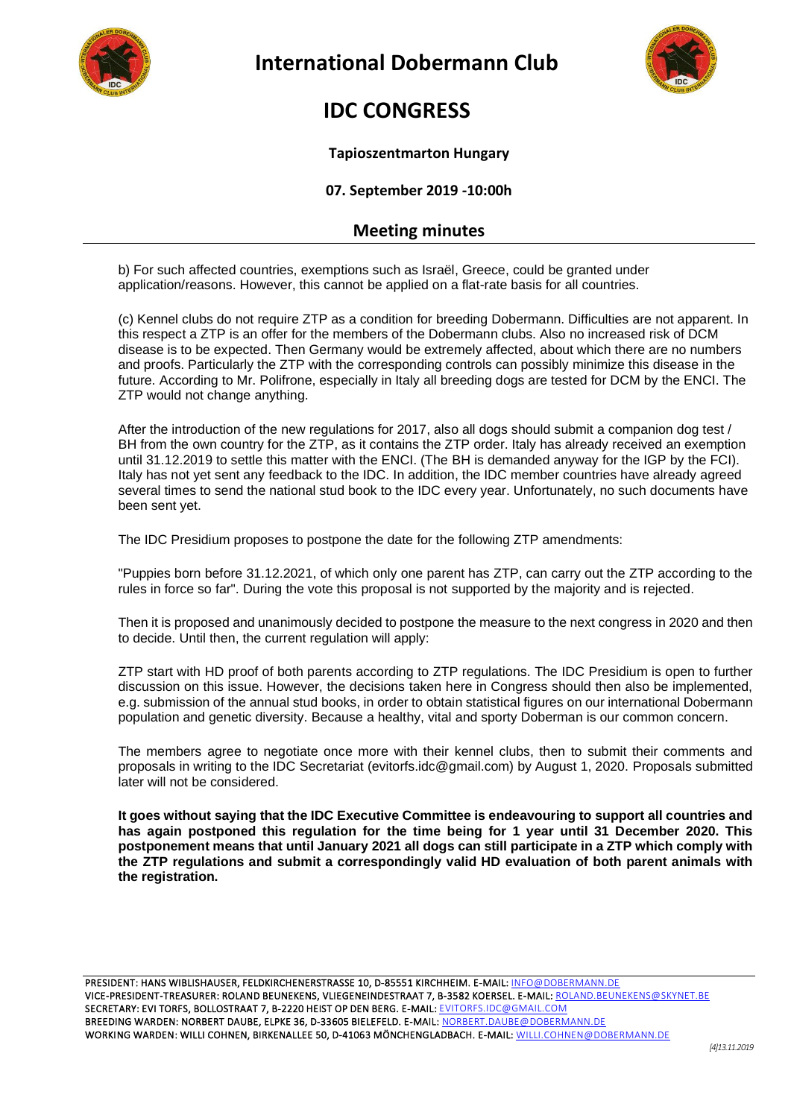



# **IDC CONGRESS**

#### **Tapioszentmarton Hungary**

**07. September 2019 -10:00h**

## **Meeting minutes**

b) For such affected countries, exemptions such as Israël, Greece, could be granted under application/reasons. However, this cannot be applied on a flat-rate basis for all countries.

(c) Kennel clubs do not require ZTP as a condition for breeding Dobermann. Difficulties are not apparent. In this respect a ZTP is an offer for the members of the Dobermann clubs. Also no increased risk of DCM disease is to be expected. Then Germany would be extremely affected, about which there are no numbers and proofs. Particularly the ZTP with the corresponding controls can possibly minimize this disease in the future. According to Mr. Polifrone, especially in Italy all breeding dogs are tested for DCM by the ENCI. The ZTP would not change anything.

After the introduction of the new regulations for 2017, also all dogs should submit a companion dog test / BH from the own country for the ZTP, as it contains the ZTP order. Italy has already received an exemption until 31.12.2019 to settle this matter with the ENCI. (The BH is demanded anyway for the IGP by the FCI). Italy has not yet sent any feedback to the IDC. In addition, the IDC member countries have already agreed several times to send the national stud book to the IDC every year. Unfortunately, no such documents have been sent yet.

The IDC Presidium proposes to postpone the date for the following ZTP amendments:

"Puppies born before 31.12.2021, of which only one parent has ZTP, can carry out the ZTP according to the rules in force so far". During the vote this proposal is not supported by the majority and is rejected.

Then it is proposed and unanimously decided to postpone the measure to the next congress in 2020 and then to decide. Until then, the current regulation will apply:

ZTP start with HD proof of both parents according to ZTP regulations. The IDC Presidium is open to further discussion on this issue. However, the decisions taken here in Congress should then also be implemented, e.g. submission of the annual stud books, in order to obtain statistical figures on our international Dobermann population and genetic diversity. Because a healthy, vital and sporty Doberman is our common concern.

The members agree to negotiate once more with their kennel clubs, then to submit their comments and proposals in writing to the IDC Secretariat (evitorfs.idc@gmail.com) by August 1, 2020. Proposals submitted later will not be considered.

**It goes without saying that the IDC Executive Committee is endeavouring to support all countries and has again postponed this regulation for the time being for 1 year until 31 December 2020. This postponement means that until January 2021 all dogs can still participate in a ZTP which comply with the ZTP regulations and submit a correspondingly valid HD evaluation of both parent animals with the registration.**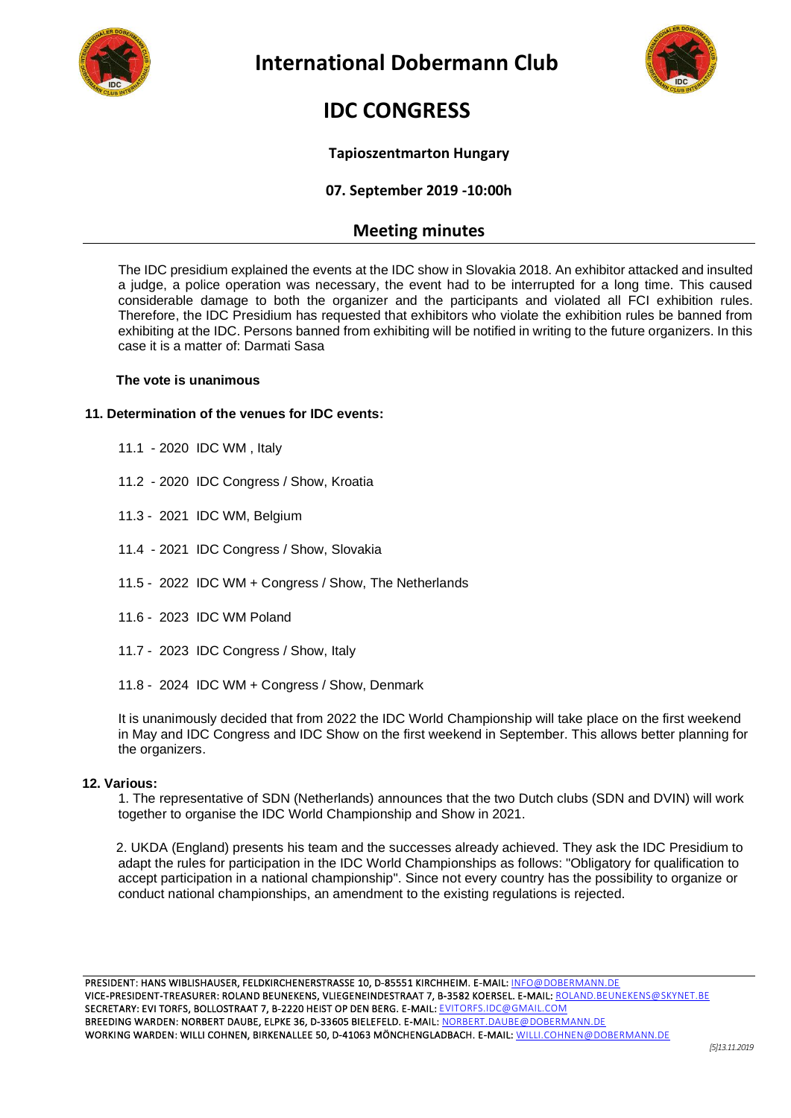



# **IDC CONGRESS**

### **Tapioszentmarton Hungary**

### **07. September 2019 -10:00h**

### **Meeting minutes**

The IDC presidium explained the events at the IDC show in Slovakia 2018. An exhibitor attacked and insulted a judge, a police operation was necessary, the event had to be interrupted for a long time. This caused considerable damage to both the organizer and the participants and violated all FCI exhibition rules. Therefore, the IDC Presidium has requested that exhibitors who violate the exhibition rules be banned from exhibiting at the IDC. Persons banned from exhibiting will be notified in writing to the future organizers. In this case it is a matter of: Darmati Sasa

#### **The vote is unanimous**

#### **11. Determination of the venues for IDC events:**

- 11.1 2020 IDC WM , Italy
- 11.2 2020 IDC Congress / Show, Kroatia
- 11.3 2021 IDC WM, Belgium
- 11.4 2021 IDC Congress / Show, Slovakia
- 11.5 2022 IDC WM + Congress / Show, The Netherlands
- 11.6 2023 IDC WM Poland
- 11.7 2023 IDC Congress / Show, Italy
- 11.8 2024 IDC WM + Congress / Show, Denmark

It is unanimously decided that from 2022 the IDC World Championship will take place on the first weekend in May and IDC Congress and IDC Show on the first weekend in September. This allows better planning for the organizers.

#### **12. Various:**

1. The representative of SDN (Netherlands) announces that the two Dutch clubs (SDN and DVIN) will work together to organise the IDC World Championship and Show in 2021.

 2. UKDA (England) presents his team and the successes already achieved. They ask the IDC Presidium to adapt the rules for participation in the IDC World Championships as follows: "Obligatory for qualification to accept participation in a national championship". Since not every country has the possibility to organize or conduct national championships, an amendment to the existing regulations is rejected.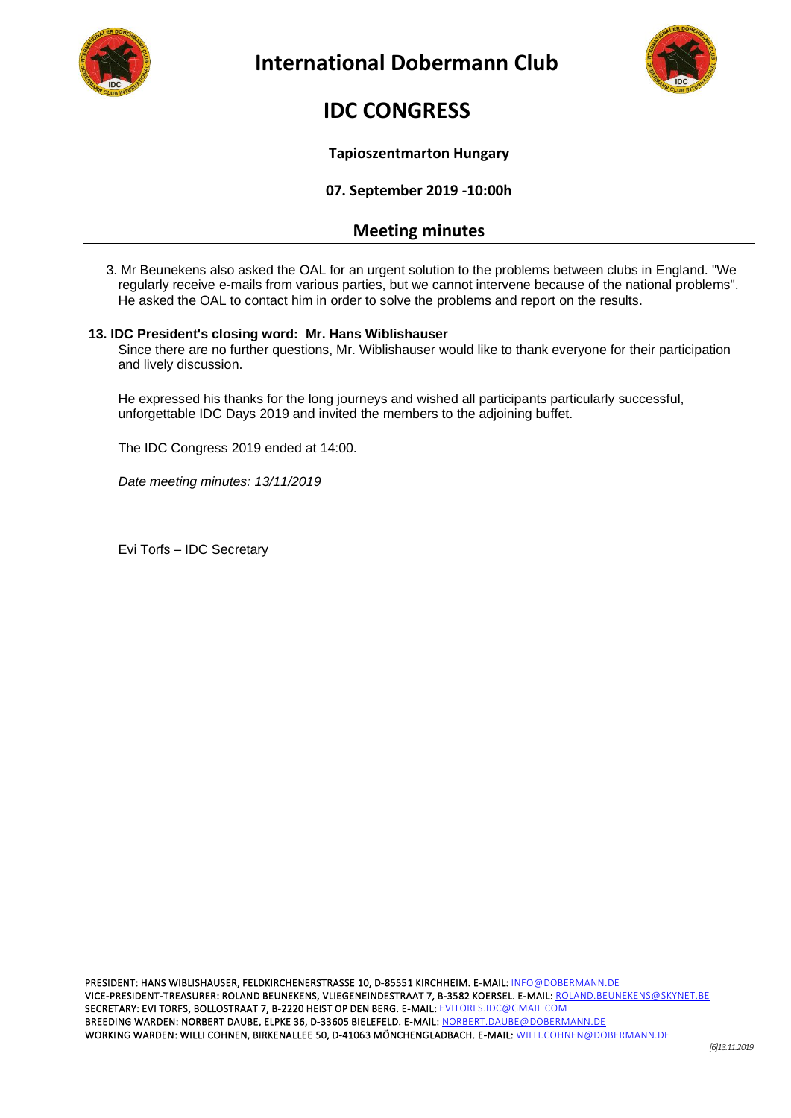



# **IDC CONGRESS**

#### **Tapioszentmarton Hungary**

**07. September 2019 -10:00h**

## **Meeting minutes**

3. Mr Beunekens also asked the OAL for an urgent solution to the problems between clubs in England. "We regularly receive e-mails from various parties, but we cannot intervene because of the national problems". He asked the OAL to contact him in order to solve the problems and report on the results.

#### **13. IDC President's closing word: Mr. Hans Wiblishauser**

Since there are no further questions, Mr. Wiblishauser would like to thank everyone for their participation and lively discussion.

He expressed his thanks for the long journeys and wished all participants particularly successful, unforgettable IDC Days 2019 and invited the members to the adjoining buffet.

The IDC Congress 2019 ended at 14:00.

*Date meeting minutes: 13/11/2019*

Evi Torfs – IDC Secretary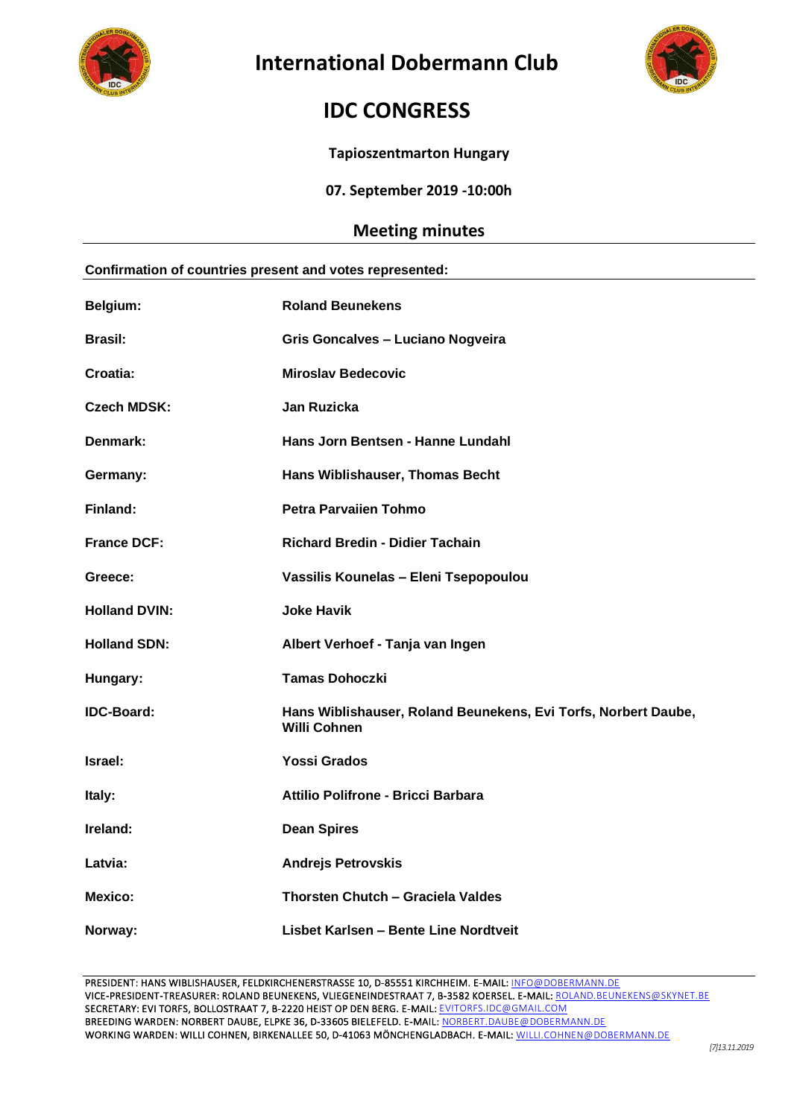



# **IDC CONGRESS**

**Tapioszentmarton Hungary**

**07. September 2019 -10:00h**

## **Meeting minutes**

| Confirmation of countries present and votes represented: |                                                                                       |  |
|----------------------------------------------------------|---------------------------------------------------------------------------------------|--|
| Belgium:                                                 | <b>Roland Beunekens</b>                                                               |  |
| <b>Brasil:</b>                                           | Gris Goncalves - Luciano Nogveira                                                     |  |
| Croatia:                                                 | <b>Miroslav Bedecovic</b>                                                             |  |
| <b>Czech MDSK:</b>                                       | Jan Ruzicka                                                                           |  |
| Denmark:                                                 | Hans Jorn Bentsen - Hanne Lundahl                                                     |  |
| Germany:                                                 | Hans Wiblishauser, Thomas Becht                                                       |  |
| Finland:                                                 | <b>Petra Parvaiien Tohmo</b>                                                          |  |
| <b>France DCF:</b>                                       | <b>Richard Bredin - Didier Tachain</b>                                                |  |
| Greece:                                                  | Vassilis Kounelas - Eleni Tsepopoulou                                                 |  |
| <b>Holland DVIN:</b>                                     | <b>Joke Havik</b>                                                                     |  |
| <b>Holland SDN:</b>                                      | Albert Verhoef - Tanja van Ingen                                                      |  |
| Hungary:                                                 | <b>Tamas Dohoczki</b>                                                                 |  |
| <b>IDC-Board:</b>                                        | Hans Wiblishauser, Roland Beunekens, Evi Torfs, Norbert Daube,<br><b>Willi Cohnen</b> |  |
| Israel:                                                  | <b>Yossi Grados</b>                                                                   |  |
| Italy:                                                   | Attilio Polifrone - Bricci Barbara                                                    |  |
| Ireland:                                                 | <b>Dean Spires</b>                                                                    |  |
| Latvia:                                                  | <b>Andrejs Petrovskis</b>                                                             |  |
| <b>Mexico:</b>                                           | Thorsten Chutch - Graciela Valdes                                                     |  |
| Norway:                                                  | Lisbet Karlsen - Bente Line Nordtveit                                                 |  |